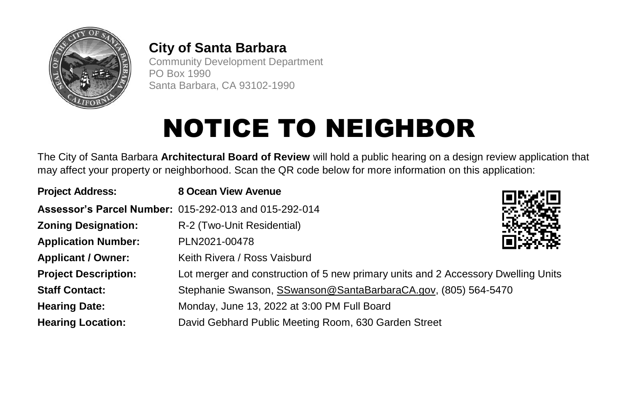

## **City of Santa Barbara**

Community Development Department PO Box 1990 Santa Barbara, CA 93102-1990

## **NOTICE TO NEIGHBOR**

The City of Santa Barbara **Architectural Board of Review** will hold a public hearing on a design review application that may affect your property or neighborhood. Scan the QR code below for more information on this application:

| <b>Project Address:</b>     | 8 Ocean View Avenue                                                               |  |
|-----------------------------|-----------------------------------------------------------------------------------|--|
|                             | Assessor's Parcel Number: 015-292-013 and 015-292-014                             |  |
| <b>Zoning Designation:</b>  | R-2 (Two-Unit Residential)                                                        |  |
| <b>Application Number:</b>  | PLN2021-00478                                                                     |  |
| <b>Applicant / Owner:</b>   | Keith Rivera / Ross Vaisburd                                                      |  |
| <b>Project Description:</b> | Lot merger and construction of 5 new primary units and 2 Accessory Dwelling Units |  |
| <b>Staff Contact:</b>       | Stephanie Swanson, SSwanson@SantaBarbaraCA.gov, (805) 564-5470                    |  |
| <b>Hearing Date:</b>        | Monday, June 13, 2022 at 3:00 PM Full Board                                       |  |
| <b>Hearing Location:</b>    | David Gebhard Public Meeting Room, 630 Garden Street                              |  |